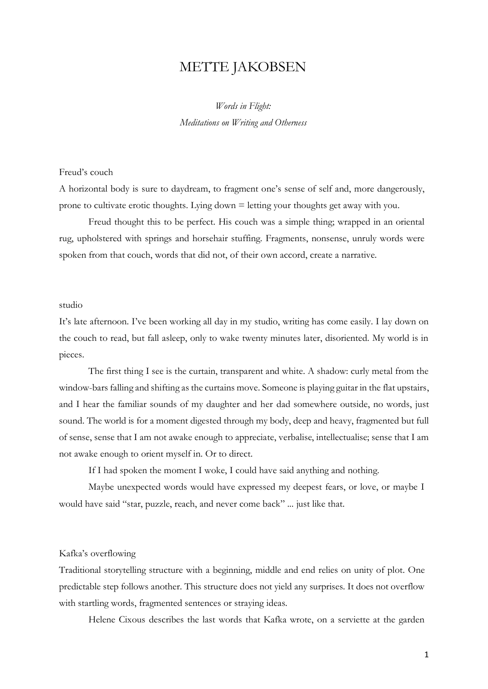# METTE JAKOBSEN

*Words in Flight: Meditations on Writing and Otherness*

Freud's couch

A horizontal body is sure to daydream, to fragment one's sense of self and, more dangerously, prone to cultivate erotic thoughts. Lying down = letting your thoughts get away with you.

Freud thought this to be perfect. His couch was a simple thing; wrapped in an oriental rug, upholstered with springs and horsehair stuffing. Fragments, nonsense, unruly words were spoken from that couch, words that did not, of their own accord, create a narrative.

#### studio

It's late afternoon. I've been working all day in my studio, writing has come easily. I lay down on the couch to read, but fall asleep, only to wake twenty minutes later, disoriented. My world is in pieces.

The first thing I see is the curtain, transparent and white. A shadow: curly metal from the window-bars falling and shifting as the curtains move. Someone is playing guitar in the flat upstairs, and I hear the familiar sounds of my daughter and her dad somewhere outside, no words, just sound. The world is for a moment digested through my body, deep and heavy, fragmented but full of sense, sense that I am not awake enough to appreciate, verbalise, intellectualise; sense that I am not awake enough to orient myself in. Or to direct.

If I had spoken the moment I woke, I could have said anything and nothing.

Maybe unexpected words would have expressed my deepest fears, or love, or maybe I would have said "star, puzzle, reach, and never come back" ... just like that.

#### Kafka's overflowing

Traditional storytelling structure with a beginning, middle and end relies on unity of plot. One predictable step follows another. This structure does not yield any surprises. It does not overflow with startling words, fragmented sentences or straying ideas.

Helene Cixous describes the last words that Kafka wrote, on a serviette at the garden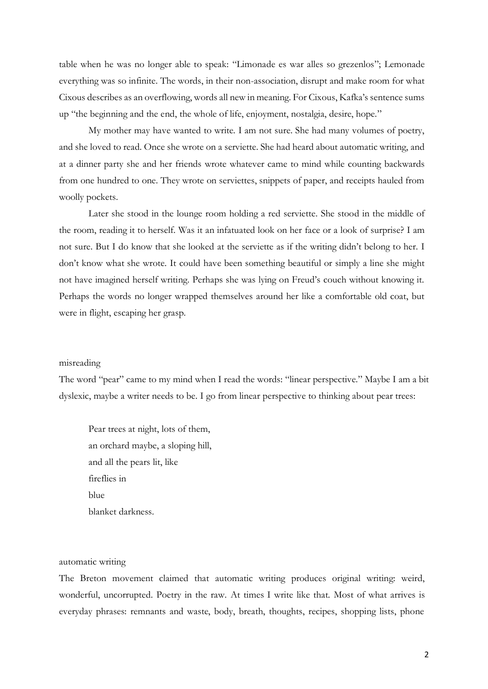table when he was no longer able to speak: "Limonade es war alles so grezenlos"; Lemonade everything was so infinite. The words, in their non-association, disrupt and make room for what Cixous describes as an overflowing, words all new in meaning. For Cixous, Kafka's sentence sums up "the beginning and the end, the whole of life, enjoyment, nostalgia, desire, hope."

My mother may have wanted to write. I am not sure. She had many volumes of poetry, and she loved to read. Once she wrote on a serviette. She had heard about automatic writing, and at a dinner party she and her friends wrote whatever came to mind while counting backwards from one hundred to one. They wrote on serviettes, snippets of paper, and receipts hauled from woolly pockets.

Later she stood in the lounge room holding a red serviette. She stood in the middle of the room, reading it to herself. Was it an infatuated look on her face or a look of surprise? I am not sure. But I do know that she looked at the serviette as if the writing didn't belong to her. I don't know what she wrote. It could have been something beautiful or simply a line she might not have imagined herself writing. Perhaps she was lying on Freud's couch without knowing it. Perhaps the words no longer wrapped themselves around her like a comfortable old coat, but were in flight, escaping her grasp.

#### misreading

The word "pear" came to my mind when I read the words: "linear perspective." Maybe I am a bit dyslexic, maybe a writer needs to be. I go from linear perspective to thinking about pear trees:

Pear trees at night, lots of them, an orchard maybe, a sloping hill, and all the pears lit, like fireflies in blue blanket darkness.

### automatic writing

The Breton movement claimed that automatic writing produces original writing: weird, wonderful, uncorrupted. Poetry in the raw. At times I write like that. Most of what arrives is everyday phrases: remnants and waste, body, breath, thoughts, recipes, shopping lists, phone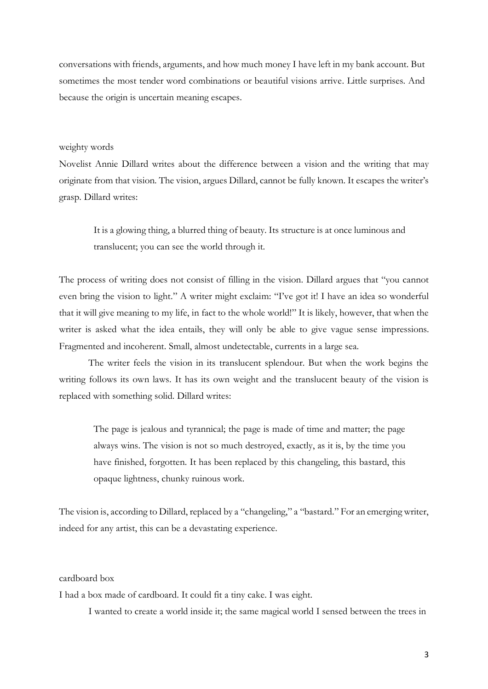conversations with friends, arguments, and how much money I have left in my bank account. But sometimes the most tender word combinations or beautiful visions arrive. Little surprises. And because the origin is uncertain meaning escapes.

## weighty words

Novelist Annie Dillard writes about the difference between a vision and the writing that may originate from that vision. The vision, argues Dillard, cannot be fully known. It escapes the writer's grasp. Dillard writes:

It is a glowing thing, a blurred thing of beauty. Its structure is at once luminous and translucent; you can see the world through it.

The process of writing does not consist of filling in the vision. Dillard argues that "you cannot even bring the vision to light." A writer might exclaim: "I've got it! I have an idea so wonderful that it will give meaning to my life, in fact to the whole world!" It is likely, however, that when the writer is asked what the idea entails, they will only be able to give vague sense impressions. Fragmented and incoherent. Small, almost undetectable, currents in a large sea.

The writer feels the vision in its translucent splendour. But when the work begins the writing follows its own laws. It has its own weight and the translucent beauty of the vision is replaced with something solid. Dillard writes:

The page is jealous and tyrannical; the page is made of time and matter; the page always wins. The vision is not so much destroyed, exactly, as it is, by the time you have finished, forgotten. It has been replaced by this changeling, this bastard, this opaque lightness, chunky ruinous work.

The vision is, according to Dillard, replaced by a "changeling," a "bastard." For an emerging writer, indeed for any artist, this can be a devastating experience.

## cardboard box

I had a box made of cardboard. It could fit a tiny cake. I was eight.

I wanted to create a world inside it; the same magical world I sensed between the trees in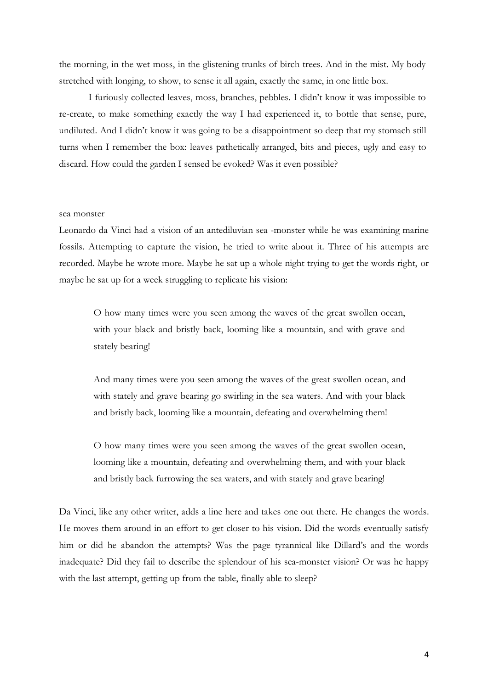the morning, in the wet moss, in the glistening trunks of birch trees. And in the mist. My body stretched with longing, to show, to sense it all again, exactly the same, in one little box.

I furiously collected leaves, moss, branches, pebbles. I didn't know it was impossible to re-create, to make something exactly the way I had experienced it, to bottle that sense, pure, undiluted. And I didn't know it was going to be a disappointment so deep that my stomach still turns when I remember the box: leaves pathetically arranged, bits and pieces, ugly and easy to discard. How could the garden I sensed be evoked? Was it even possible?

#### sea monster

Leonardo da Vinci had a vision of an antediluvian sea -monster while he was examining marine fossils. Attempting to capture the vision, he tried to write about it. Three of his attempts are recorded. Maybe he wrote more. Maybe he sat up a whole night trying to get the words right, or maybe he sat up for a week struggling to replicate his vision:

O how many times were you seen among the waves of the great swollen ocean, with your black and bristly back, looming like a mountain, and with grave and stately bearing!

And many times were you seen among the waves of the great swollen ocean, and with stately and grave bearing go swirling in the sea waters. And with your black and bristly back, looming like a mountain, defeating and overwhelming them!

O how many times were you seen among the waves of the great swollen ocean, looming like a mountain, defeating and overwhelming them, and with your black and bristly back furrowing the sea waters, and with stately and grave bearing!

Da Vinci, like any other writer, adds a line here and takes one out there. He changes the words. He moves them around in an effort to get closer to his vision. Did the words eventually satisfy him or did he abandon the attempts? Was the page tyrannical like Dillard's and the words inadequate? Did they fail to describe the splendour of his sea-monster vision? Or was he happy with the last attempt, getting up from the table, finally able to sleep?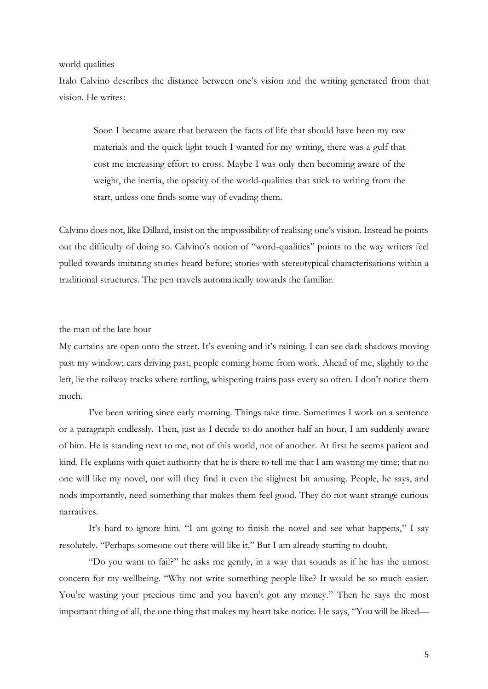world qualities

Italo Calvino describes the distance between one's vision and the writing generated from that vision. He writes:

Soon I became aware that between the facts of life that should have been my raw materials and the quick light touch I wanted for my writing, there was a gulf that cost me increasing effort to cross. Maybe I was only then becoming aware of the weight, the inertia, the opacity of the world-qualities that stick to writing from the start, unless one finds some way of evading them.

Calvino does not, like Dillard, insist on the impossibility of realising one's vision. Instead he points out the difficulty of doing so. Calvino's notion of "word-qualities" points to the way writers feel pulled towards imitating stories heard before; stories with stereotypical characterisations within a traditional structures. The pen travels automatically towards the familiar.

## the man of the late hour

My curtains are open onto the street. It's evening and it's raining. I can see dark shadows moving past my window; cars driving past, people coming home from work. Ahead of me, slightly to the left, lie the railway tracks where rattling, whispering trains pass every so often. I don't notice them much.

I've been writing since early morning. Things take time. Sometimes I work on a sentence or a paragraph endlessly. Then, just as I decide to do another half an hour, I am suddenly aware of him. He is standing next to me, not of this world, not of another. At first he seems patient and kind. He explains with quiet authority that he is there to tell me that I am wasting my time; that no one will like my novel, nor will they find it even the slightest bit amusing. People, he says, and nods importantly, need something that makes them feel good. They do not want strange curious narratives.

It's hard to ignore him. "I am going to finish the novel and see what happens," I say resolutely. "Perhaps someone out there will like it." But I am already starting to doubt.

"Do you want to fail?" he asks me gently, in a way that sounds as if he has the utmost concern for my wellbeing. "Why not write something people like? It would be so much easier. You're wasting your precious time and you haven't got any money." Then he says the most important thing of all, the one thing that makes my heart take notice. He says, "You will be liked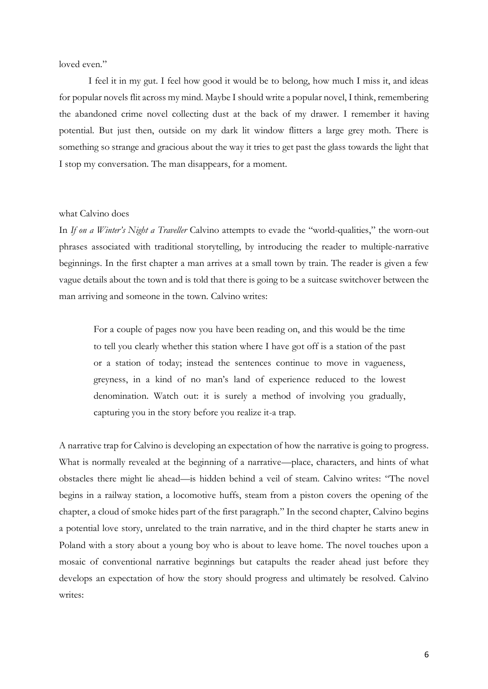loved even."

I feel it in my gut. I feel how good it would be to belong, how much I miss it, and ideas for popular novels flit across my mind. Maybe I should write a popular novel, I think, remembering the abandoned crime novel collecting dust at the back of my drawer. I remember it having potential. But just then, outside on my dark lit window flitters a large grey moth. There is something so strange and gracious about the way it tries to get past the glass towards the light that I stop my conversation. The man disappears, for a moment.

#### what Calvino does

In *If on a Winter's Night a Traveller* Calvino attempts to evade the "world-qualities," the worn-out phrases associated with traditional storytelling, by introducing the reader to multiple-narrative beginnings. In the first chapter a man arrives at a small town by train. The reader is given a few vague details about the town and is told that there is going to be a suitcase switchover between the man arriving and someone in the town. Calvino writes:

For a couple of pages now you have been reading on, and this would be the time to tell you clearly whether this station where I have got off is a station of the past or a station of today; instead the sentences continue to move in vagueness, greyness, in a kind of no man's land of experience reduced to the lowest denomination. Watch out: it is surely a method of involving you gradually, capturing you in the story before you realize it-a trap.

A narrative trap for Calvino is developing an expectation of how the narrative is going to progress. What is normally revealed at the beginning of a narrative—place, characters, and hints of what obstacles there might lie ahead—is hidden behind a veil of steam. Calvino writes: "The novel begins in a railway station, a locomotive huffs, steam from a piston covers the opening of the chapter, a cloud of smoke hides part of the first paragraph." In the second chapter, Calvino begins a potential love story, unrelated to the train narrative, and in the third chapter he starts anew in Poland with a story about a young boy who is about to leave home. The novel touches upon a mosaic of conventional narrative beginnings but catapults the reader ahead just before they develops an expectation of how the story should progress and ultimately be resolved. Calvino writes: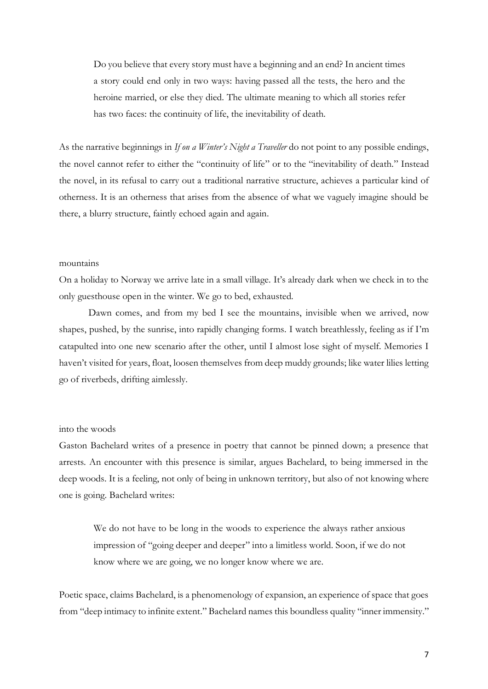Do you believe that every story must have a beginning and an end? In ancient times a story could end only in two ways: having passed all the tests, the hero and the heroine married, or else they died. The ultimate meaning to which all stories refer has two faces: the continuity of life, the inevitability of death.

As the narrative beginnings in *If on a Winter's Night a Traveller* do not point to any possible endings, the novel cannot refer to either the "continuity of life" or to the "inevitability of death." Instead the novel, in its refusal to carry out a traditional narrative structure, achieves a particular kind of otherness. It is an otherness that arises from the absence of what we vaguely imagine should be there, a blurry structure, faintly echoed again and again.

### mountains

On a holiday to Norway we arrive late in a small village. It's already dark when we check in to the only guesthouse open in the winter. We go to bed, exhausted.

Dawn comes, and from my bed I see the mountains, invisible when we arrived, now shapes, pushed, by the sunrise, into rapidly changing forms. I watch breathlessly, feeling as if I'm catapulted into one new scenario after the other, until I almost lose sight of myself. Memories I haven't visited for years, float, loosen themselves from deep muddy grounds; like water lilies letting go of riverbeds, drifting aimlessly.

#### into the woods

Gaston Bachelard writes of a presence in poetry that cannot be pinned down; a presence that arrests. An encounter with this presence is similar, argues Bachelard, to being immersed in the deep woods. It is a feeling, not only of being in unknown territory, but also of not knowing where one is going. Bachelard writes:

We do not have to be long in the woods to experience the always rather anxious impression of "going deeper and deeper" into a limitless world. Soon, if we do not know where we are going, we no longer know where we are.

Poetic space, claims Bachelard, is a phenomenology of expansion, an experience of space that goes from "deep intimacy to infinite extent." Bachelard names this boundless quality "inner immensity."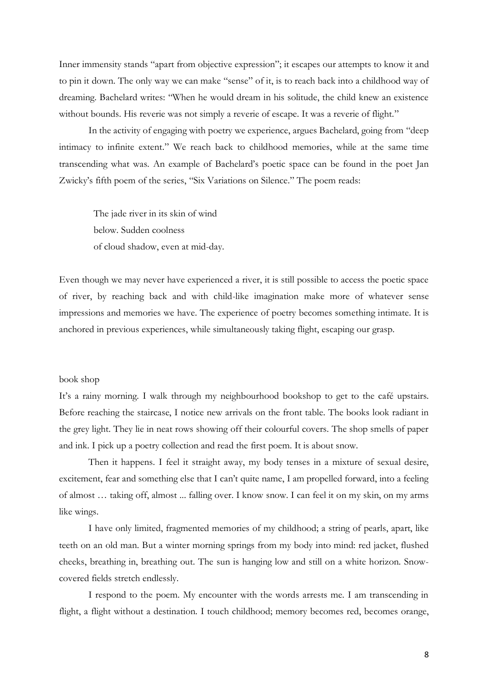Inner immensity stands "apart from objective expression"; it escapes our attempts to know it and to pin it down. The only way we can make "sense" of it, is to reach back into a childhood way of dreaming. Bachelard writes: "When he would dream in his solitude, the child knew an existence without bounds. His reverie was not simply a reverie of escape. It was a reverie of flight."

In the activity of engaging with poetry we experience, argues Bachelard, going from "deep intimacy to infinite extent." We reach back to childhood memories, while at the same time transcending what was. An example of Bachelard's poetic space can be found in the poet Jan Zwicky's fifth poem of the series, "Six Variations on Silence." The poem reads:

The jade river in its skin of wind below. Sudden coolness of cloud shadow, even at mid-day.

Even though we may never have experienced a river, it is still possible to access the poetic space of river, by reaching back and with child-like imagination make more of whatever sense impressions and memories we have. The experience of poetry becomes something intimate. It is anchored in previous experiences, while simultaneously taking flight, escaping our grasp.

#### book shop

It's a rainy morning. I walk through my neighbourhood bookshop to get to the café upstairs. Before reaching the staircase, I notice new arrivals on the front table. The books look radiant in the grey light. They lie in neat rows showing off their colourful covers. The shop smells of paper and ink. I pick up a poetry collection and read the first poem. It is about snow.

Then it happens. I feel it straight away, my body tenses in a mixture of sexual desire, excitement, fear and something else that I can't quite name, I am propelled forward, into a feeling of almost … taking off, almost ... falling over. I know snow. I can feel it on my skin, on my arms like wings.

I have only limited, fragmented memories of my childhood; a string of pearls, apart, like teeth on an old man. But a winter morning springs from my body into mind: red jacket, flushed cheeks, breathing in, breathing out. The sun is hanging low and still on a white horizon. Snowcovered fields stretch endlessly.

I respond to the poem. My encounter with the words arrests me. I am transcending in flight, a flight without a destination. I touch childhood; memory becomes red, becomes orange,